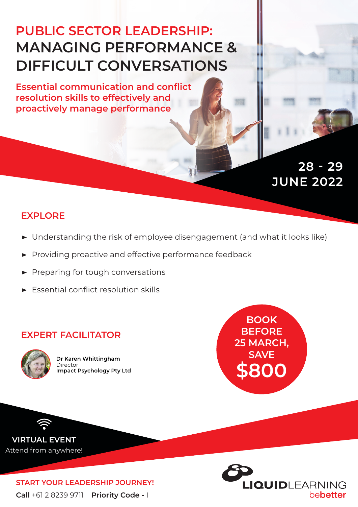# **PUBLIC SECTOR LEADERSHIP: MANAGING PERFORMANCE & DIFFICULT CONVERSATIONS**

**Essential communication and conflict resolution skills to effectively and proactively manage performance**

> **JUNE 2022 28 - 29**

## **EXPLORE**

- **▶** Understanding the risk of employee disengagement (and what it looks like)
- **▶** Providing proactive and effective performance feedback
- **▶** Preparing for tough conversations
- **▶** Essential conflict resolution skills

## **EXPERT FACILITATOR**



**Dr Karen Whittingham** Director **Impact Psychology Pty Ltd**



**VIRTUAL EVENT** Attend from anywhere!

> **Call** +61 2 8239 9711 **Priority Code -** I **START YOUR LEADERSHIP JOURNEY!**

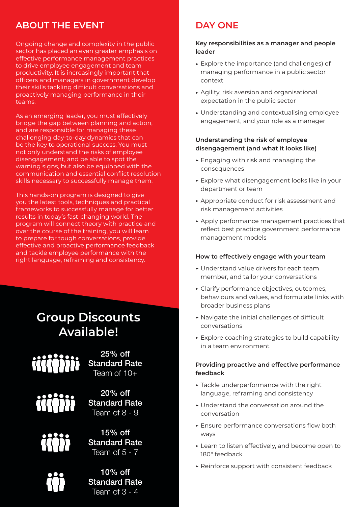## **ABOUT THE EVENT**

Ongoing change and complexity in the public sector has placed an even greater emphasis on effective performance management practices to drive employee engagement and team productivity. It is increasingly important that officers and managers in government develop their skills tackling difficult conversations and proactively managing performance in their teams.

As an emerging leader, you must effectively bridge the gap between planning and action, and are responsible for managing these challenging day-to-day dynamics that can be the key to operational success. You must not only understand the risks of employee disengagement, and be able to spot the warning signs, but also be equipped with the communication and essential conflict resolution skills necessary to successfully manage them.

This hands-on program is designed to give you the latest tools, techniques and practical frameworks to successfully manage for better results in today's fast-changing world. The program will connect theory with practice and over the course of the training, you will learn to prepare for tough conversations, provide effective and proactive performance feedback and tackle employee performance with the right language, reframing and consistency.

## **Group Discounts Available!**

25% off **Standard Rate** Team of  $10+$ 



20% off Standard Rate Team of 8 - 9



15% off Standard Rate Team of  $5 - 7$ 

10% off Standard Rate Team of 3 - 4

## **DAY ONE**

#### **Key responsibilities as a manager and people leader**

- **▶** Explore the importance (and challenges) of managing performance in a public sector context
- **▶** Agility, risk aversion and organisational expectation in the public sector
- **▶** Understanding and contextualising employee engagement, and your role as a manager

#### **Understanding the risk of employee disengagement (and what it looks like)**

- **▶** Engaging with risk and managing the consequences
- **▶** Explore what disengagement looks like in your department or team
- **▶** Appropriate conduct for risk assessment and risk management activities
- **▶** Apply performance management practices that reflect best practice government performance management models

#### **How to effectively engage with your team**

- **▶** Understand value drivers for each team member, and tailor your conversations
- **▶** Clarify performance objectives, outcomes, behaviours and values, and formulate links with broader business plans
- **▶** Navigate the initial challenges of difficult conversations
- **▶** Explore coaching strategies to build capability in a team environment

#### **Providing proactive and effective performance feedback**

- **▶** Tackle underperformance with the right language, reframing and consistency
- **▶** Understand the conversation around the conversation
- **▶** Ensure performance conversations flow both ways
- **▶** Learn to listen effectively, and become open to 180° feedback
- **▶** Reinforce support with consistent feedback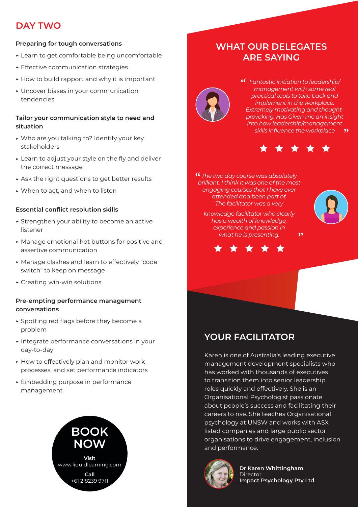## **DAY TWO**

### **Preparing for tough conversations**

- **▶** Learn to get comfortable being uncomfortable
- **▶** Effective communication strategies
- **▶** How to build rapport and why it is important
- **▶** Uncover biases in your communication tendencies

#### **Tailor your communication style to need and situation**

- **▶** Who are you talking to? Identify your key stakeholders
- **▶** Learn to adjust your style on the fly and deliver the correct message
- **▶** Ask the right questions to get better results
- **▶** When to act, and when to listen

#### **Essential conflict resolution skills**

- **▶** Strengthen your ability to become an active listener
- **▶** Manage emotional hot buttons for positive and assertive communication
- **▶** Manage clashes and learn to effectively "code switch" to keep on message
- **▶** Creating win-win solutions

#### **Pre-empting performance management conversations**

- **▶** Spotting red flags before they become a problem
- **▶** Integrate performance conversations in your day-to-day
- **▶** How to effectively plan and monitor work processes, and set performance indicators
- **▶** Embedding purpose in performance management



## **WHAT OUR DELEGATES ARE SAYING**



*Fantastic initiation to leadership/ management with some real practical tools to take back and implement in the workplace. Extremely motivating and thoughtprovoking. Has Given me an insight into how leadership/management skills influence the workplace*



 $, ,$ 

*The two day course was absolutely brilliant. I think it was one of the most engaging courses that I have ever attended and been part of. The facilitator was a very*



*knowledge facilitator who clearly has a wealth of knowledge, experience and passion in what he is presenting.* 



## **YOUR FACILITATOR**

Karen is one of Australia's leading executive management development specialists who has worked with thousands of executives to transition them into senior leadership roles quickly and effectively. She is an Organisational Psychologist passionate about people's success and facilitating their careers to rise. She teaches Organisational psychology at UNSW and works with ASX listed companies and large public sector organisations to drive engagement, inclusion and performance.



**Dr Karen Whittingham** Director **Impact Psychology Pty Ltd**